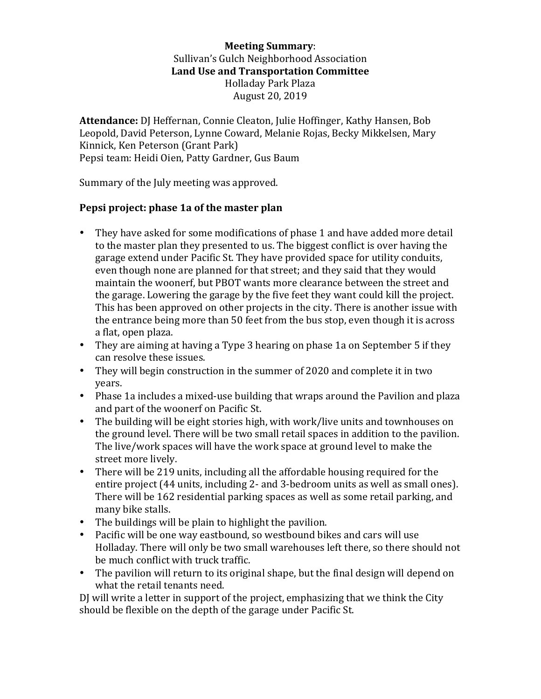**Meeting Summary**: Sullivan's Gulch Neighborhood Association Land Use and Transportation Committee Holladay Park Plaza August 20, 2019

Attendance: DJ Heffernan, Connie Cleaton, Julie Hoffinger, Kathy Hansen, Bob Leopold, David Peterson, Lynne Coward, Melanie Rojas, Becky Mikkelsen, Mary Kinnick, Ken Peterson (Grant Park) Pepsi team: Heidi Oien, Patty Gardner, Gus Baum

Summary of the July meeting was approved.

## **Pepsi project: phase 1a of the master plan**

- They have asked for some modifications of phase 1 and have added more detail to the master plan they presented to us. The biggest conflict is over having the garage extend under Pacific St. They have provided space for utility conduits, even though none are planned for that street; and they said that they would maintain the woonerf, but PBOT wants more clearance between the street and the garage. Lowering the garage by the five feet they want could kill the project. This has been approved on other projects in the city. There is another issue with the entrance being more than 50 feet from the bus stop, even though it is across a flat, open plaza.
- They are aiming at having a Type 3 hearing on phase 1a on September 5 if they can resolve these issues.
- They will begin construction in the summer of 2020 and complete it in two years.
- Phase 1a includes a mixed-use building that wraps around the Pavilion and plaza and part of the woonerf on Pacific St.
- The building will be eight stories high, with work/live units and townhouses on the ground level. There will be two small retail spaces in addition to the pavilion. The live/work spaces will have the work space at ground level to make the street more lively.
- There will be 219 units, including all the affordable housing required for the entire project (44 units, including 2- and 3-bedroom units as well as small ones). There will be 162 residential parking spaces as well as some retail parking, and many bike stalls.
- The buildings will be plain to highlight the pavilion.
- Pacific will be one way eastbound, so westbound bikes and cars will use Holladay. There will only be two small warehouses left there, so there should not be much conflict with truck traffic.
- The pavilion will return to its original shape, but the final design will depend on what the retail tenants need.

DJ will write a letter in support of the project, emphasizing that we think the City should be flexible on the depth of the garage under Pacific St.